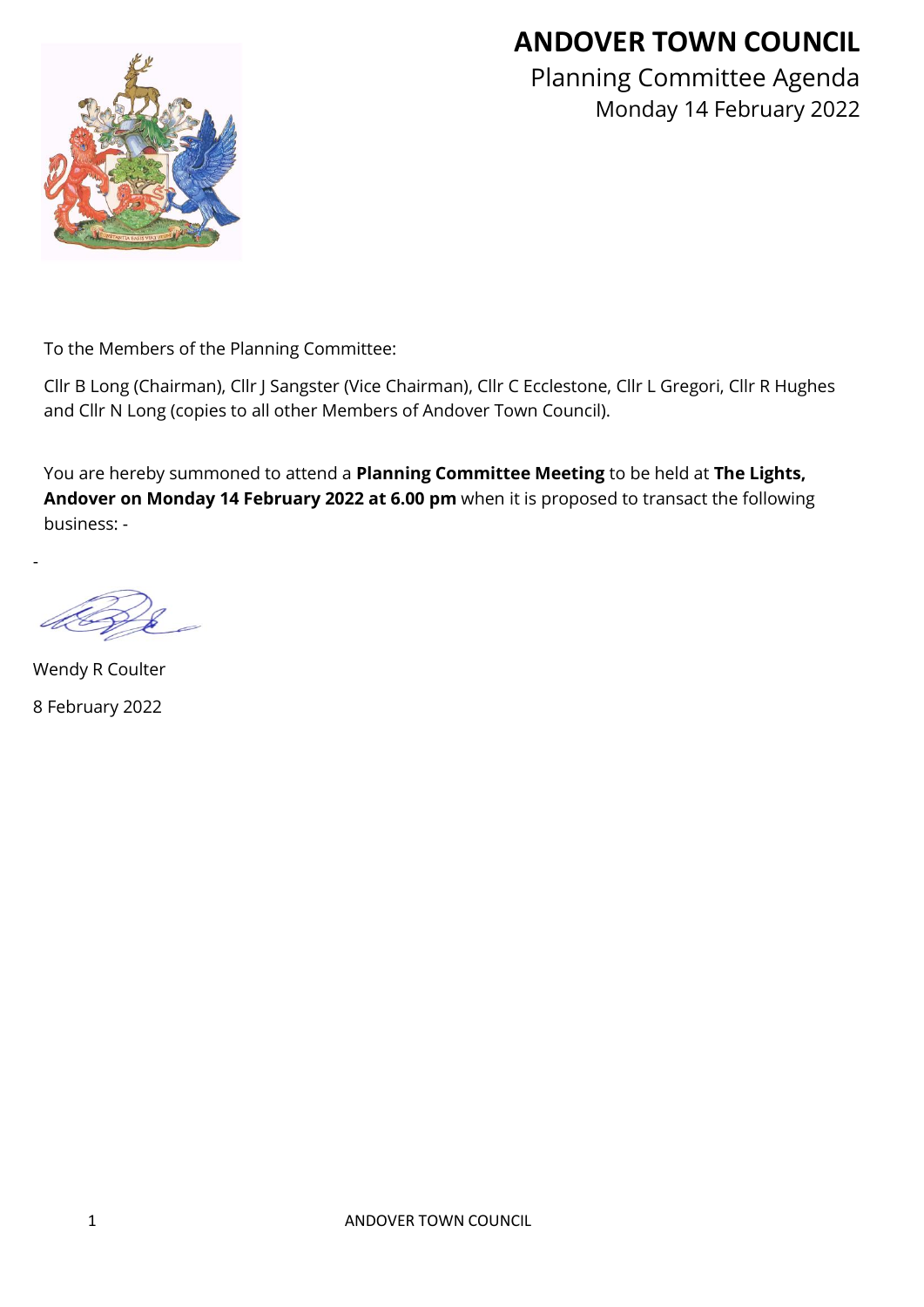# **ANDOVER TOWN COUNCIL**



Planning Committee Agenda Monday 14 February 2022

To the Members of the Planning Committee:

Cllr B Long (Chairman), Cllr J Sangster (Vice Chairman), Cllr C Ecclestone, Cllr L Gregori, Cllr R Hughes and Cllr N Long (copies to all other Members of Andover Town Council).

You are hereby summoned to attend a **Planning Committee Meeting** to be held at **The Lights, Andover on Monday 14 February 2022 at 6.00 pm** when it is proposed to transact the following business: -

Wendy R Coulter 8 February 2022

-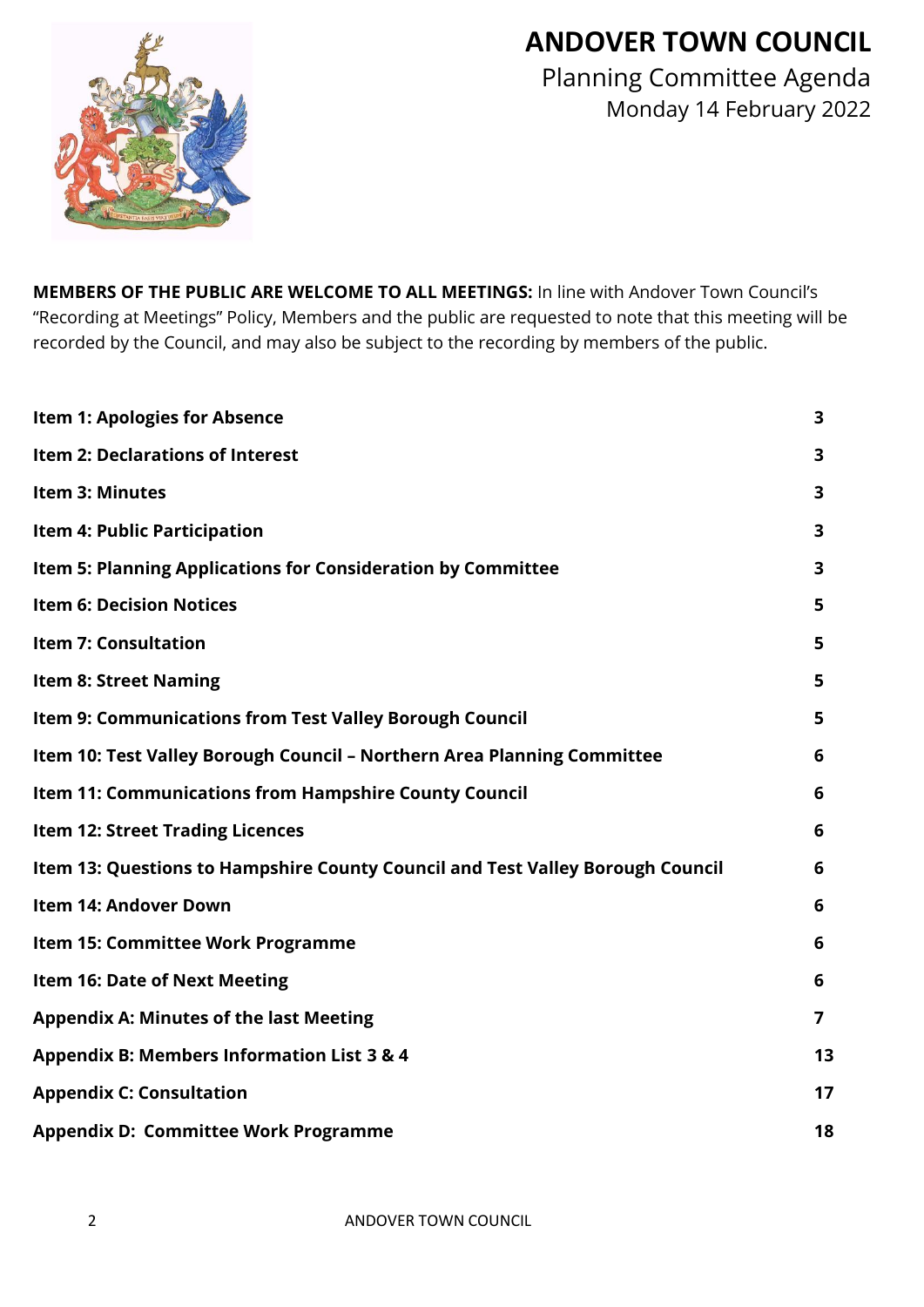# **ANDOVER TOWN COUNCIL**



Planning Committee Agenda Monday 14 February 2022

**MEMBERS OF THE PUBLIC ARE WELCOME TO ALL MEETINGS:** In line with Andover Town Council's "Recording at Meetings" Policy, Members and the public are requested to note that this meeting will be recorded by the Council, and may also be subject to the recording by members of the public.

| <b>Item 1: Apologies for Absence</b>                                           | 3                       |
|--------------------------------------------------------------------------------|-------------------------|
| Item 2: Declarations of Interest                                               | 3                       |
| <b>Item 3: Minutes</b>                                                         | 3                       |
| <b>Item 4: Public Participation</b>                                            | $\overline{\mathbf{3}}$ |
| Item 5: Planning Applications for Consideration by Committee                   | 3                       |
| <b>Item 6: Decision Notices</b>                                                | 5                       |
| <b>Item 7: Consultation</b>                                                    | 5                       |
| <b>Item 8: Street Naming</b>                                                   | 5                       |
| Item 9: Communications from Test Valley Borough Council                        | 5                       |
| Item 10: Test Valley Borough Council - Northern Area Planning Committee        | 6                       |
| Item 11: Communications from Hampshire County Council                          | 6                       |
| <b>Item 12: Street Trading Licences</b>                                        | 6                       |
| Item 13: Questions to Hampshire County Council and Test Valley Borough Council | 6                       |
| <b>Item 14: Andover Down</b>                                                   | 6                       |
| Item 15: Committee Work Programme                                              | 6                       |
| <b>Item 16: Date of Next Meeting</b>                                           | 6                       |
| <b>Appendix A: Minutes of the last Meeting</b>                                 | $\overline{7}$          |
| <b>Appendix B: Members Information List 3 &amp; 4</b>                          | 13                      |
| <b>Appendix C: Consultation</b>                                                | 17                      |
| <b>Appendix D: Committee Work Programme</b>                                    | 18                      |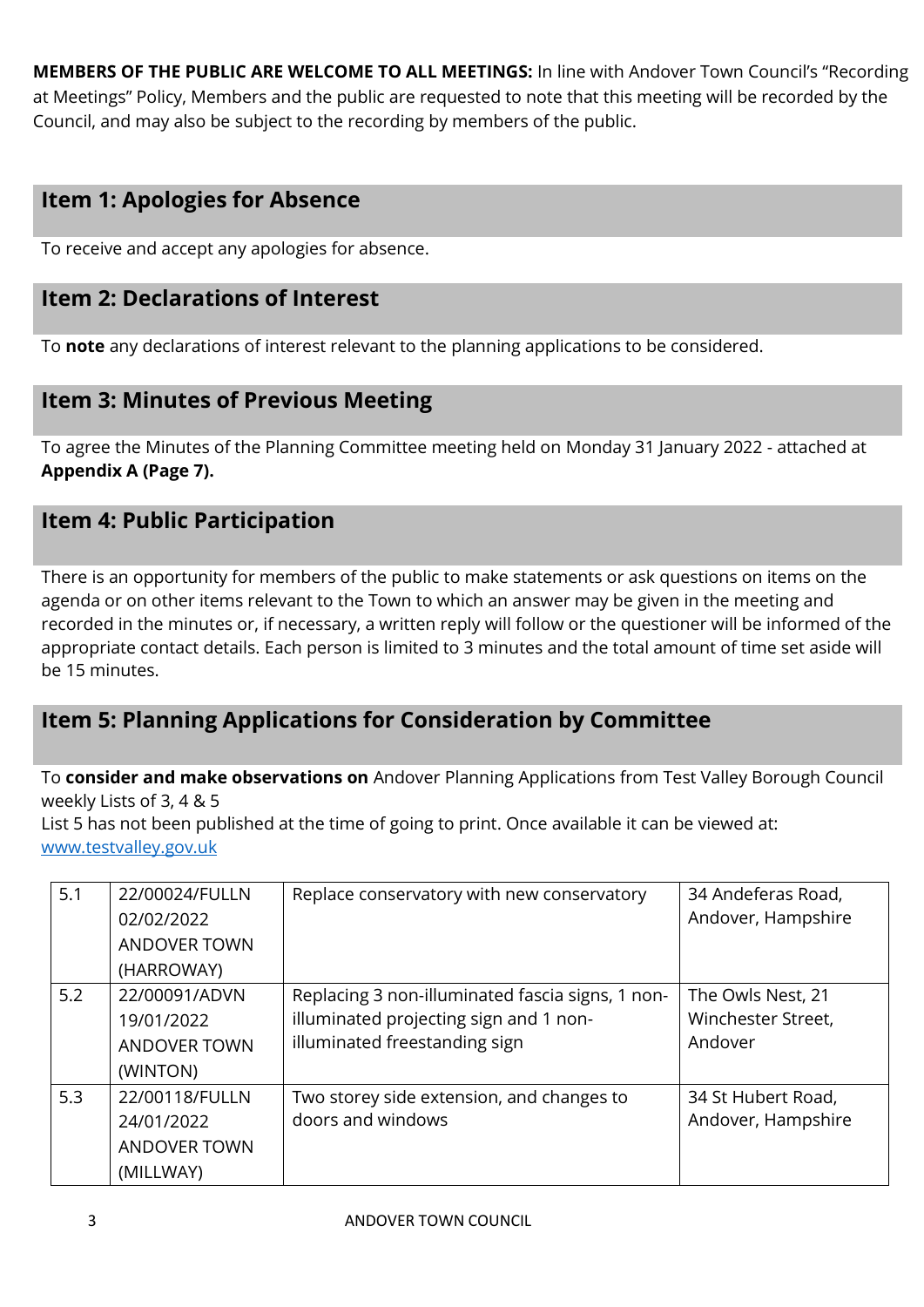**MEMBERS OF THE PUBLIC ARE WELCOME TO ALL MEETINGS:** In line with Andover Town Council's "Recording at Meetings" Policy, Members and the public are requested to note that this meeting will be recorded by the Council, and may also be subject to the recording by members of the public.

## **Item 1: Apologies for Absence**

To receive and accept any apologies for absence.

## **Item 2: Declarations of Interest**

To **note** any declarations of interest relevant to the planning applications to be considered.

## **Item 3: Minutes of Previous Meeting**

To agree the Minutes of the Planning Committee meeting held on Monday 31 January 2022 - attached at **Appendix A (Page 7).**

## **Item 4: Public Participation**

There is an opportunity for members of the public to make statements or ask questions on items on the agenda or on other items relevant to the Town to which an answer may be given in the meeting and recorded in the minutes or, if necessary, a written reply will follow or the questioner will be informed of the appropriate contact details. Each person is limited to 3 minutes and the total amount of time set aside will be 15 minutes.

# **Item 5: Planning Applications for Consideration by Committee**

To **consider and make observations on** Andover Planning Applications from Test Valley Borough Council weekly Lists of 3, 4 & 5

List 5 has not been published at the time of going to print. Once available it can be viewed at: [www.testvalley.gov.uk](http://www.testvalley.gov.uk/)

| 5.1 | 22/00024/FULLN<br>02/02/2022<br><b>ANDOVER TOWN</b>              | Replace conservatory with new conservatory                                                                                  | 34 Andeferas Road,<br>Andover, Hampshire           |
|-----|------------------------------------------------------------------|-----------------------------------------------------------------------------------------------------------------------------|----------------------------------------------------|
|     | (HARROWAY)                                                       |                                                                                                                             |                                                    |
| 5.2 | 22/00091/ADVN<br>19/01/2022<br><b>ANDOVER TOWN</b><br>(WINTON)   | Replacing 3 non-illuminated fascia signs, 1 non-<br>illuminated projecting sign and 1 non-<br>illuminated freestanding sign | The Owls Nest, 21<br>Winchester Street,<br>Andover |
| 5.3 | 22/00118/FULLN<br>24/01/2022<br><b>ANDOVER TOWN</b><br>(MILLWAY) | Two storey side extension, and changes to<br>doors and windows                                                              | 34 St Hubert Road,<br>Andover, Hampshire           |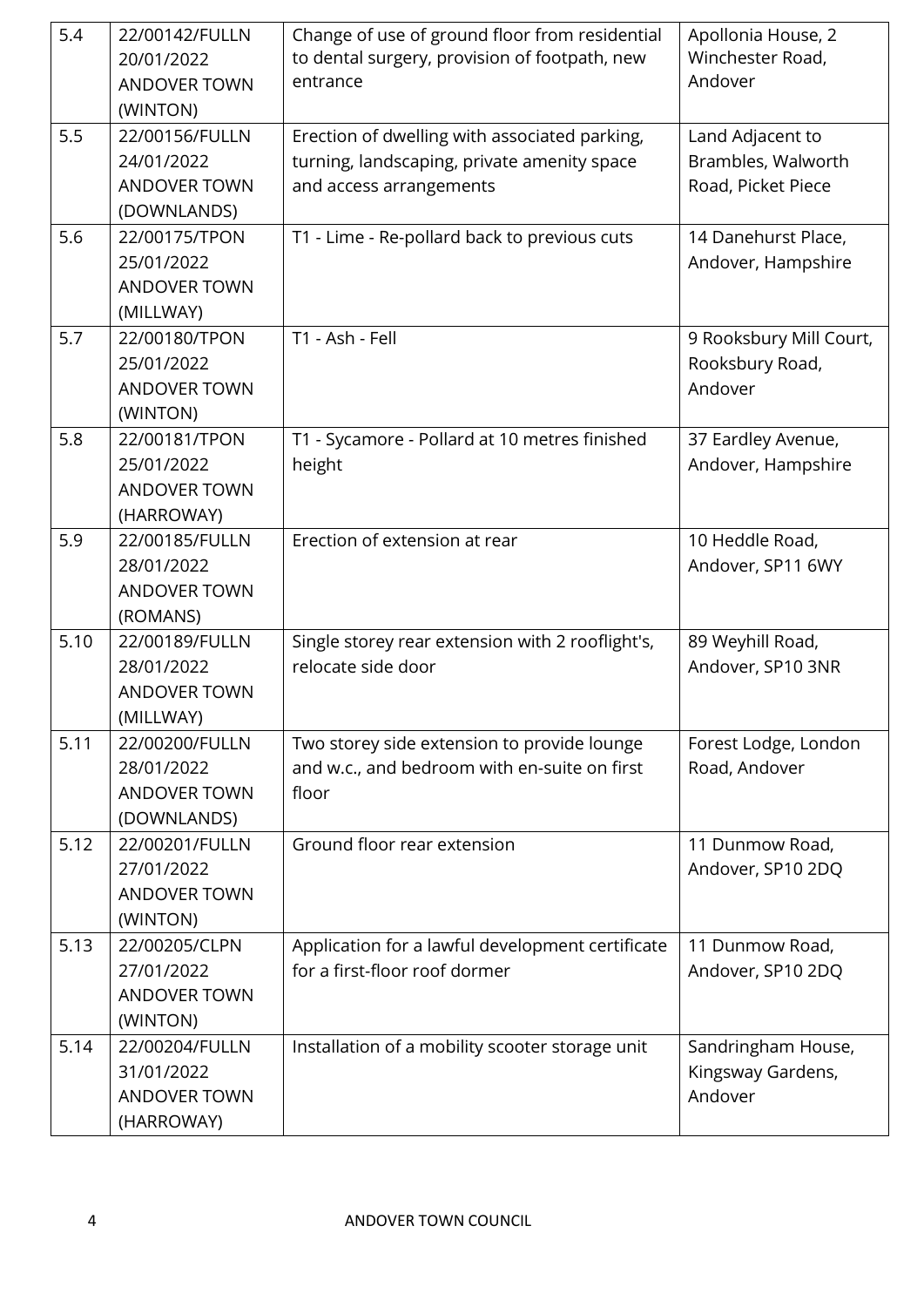| 5.4  | 22/00142/FULLN<br>20/01/2022<br><b>ANDOVER TOWN</b><br>(WINTON)    | Change of use of ground floor from residential<br>to dental surgery, provision of footpath, new<br>entrance             | Apollonia House, 2<br>Winchester Road,<br>Andover            |
|------|--------------------------------------------------------------------|-------------------------------------------------------------------------------------------------------------------------|--------------------------------------------------------------|
| 5.5  | 22/00156/FULLN<br>24/01/2022<br><b>ANDOVER TOWN</b><br>(DOWNLANDS) | Erection of dwelling with associated parking,<br>turning, landscaping, private amenity space<br>and access arrangements | Land Adjacent to<br>Brambles, Walworth<br>Road, Picket Piece |
| 5.6  | 22/00175/TPON<br>25/01/2022<br><b>ANDOVER TOWN</b><br>(MILLWAY)    | T1 - Lime - Re-pollard back to previous cuts                                                                            | 14 Danehurst Place,<br>Andover, Hampshire                    |
| 5.7  | 22/00180/TPON<br>25/01/2022<br><b>ANDOVER TOWN</b><br>(WINTON)     | T1 - Ash - Fell                                                                                                         | 9 Rooksbury Mill Court,<br>Rooksbury Road,<br>Andover        |
| 5.8  | 22/00181/TPON<br>25/01/2022<br><b>ANDOVER TOWN</b><br>(HARROWAY)   | T1 - Sycamore - Pollard at 10 metres finished<br>height                                                                 | 37 Eardley Avenue,<br>Andover, Hampshire                     |
| 5.9  | 22/00185/FULLN<br>28/01/2022<br><b>ANDOVER TOWN</b><br>(ROMANS)    | Erection of extension at rear                                                                                           | 10 Heddle Road,<br>Andover, SP11 6WY                         |
| 5.10 | 22/00189/FULLN<br>28/01/2022<br><b>ANDOVER TOWN</b><br>(MILLWAY)   | Single storey rear extension with 2 rooflight's,<br>relocate side door                                                  | 89 Weyhill Road,<br>Andover, SP10 3NR                        |
| 5.11 | 22/00200/FULLN<br>28/01/2022<br><b>ANDOVER TOWN</b><br>(DOWNLANDS) | Two storey side extension to provide lounge<br>and w.c., and bedroom with en-suite on first<br>floor                    | Forest Lodge, London<br>Road, Andover                        |
| 5.12 | 22/00201/FULLN<br>27/01/2022<br><b>ANDOVER TOWN</b><br>(WINTON)    | Ground floor rear extension                                                                                             | 11 Dunmow Road,<br>Andover, SP10 2DQ                         |
| 5.13 | 22/00205/CLPN<br>27/01/2022<br><b>ANDOVER TOWN</b><br>(WINTON)     | Application for a lawful development certificate<br>for a first-floor roof dormer                                       | 11 Dunmow Road,<br>Andover, SP10 2DQ                         |
| 5.14 | 22/00204/FULLN<br>31/01/2022<br><b>ANDOVER TOWN</b><br>(HARROWAY)  | Installation of a mobility scooter storage unit                                                                         | Sandringham House,<br>Kingsway Gardens,<br>Andover           |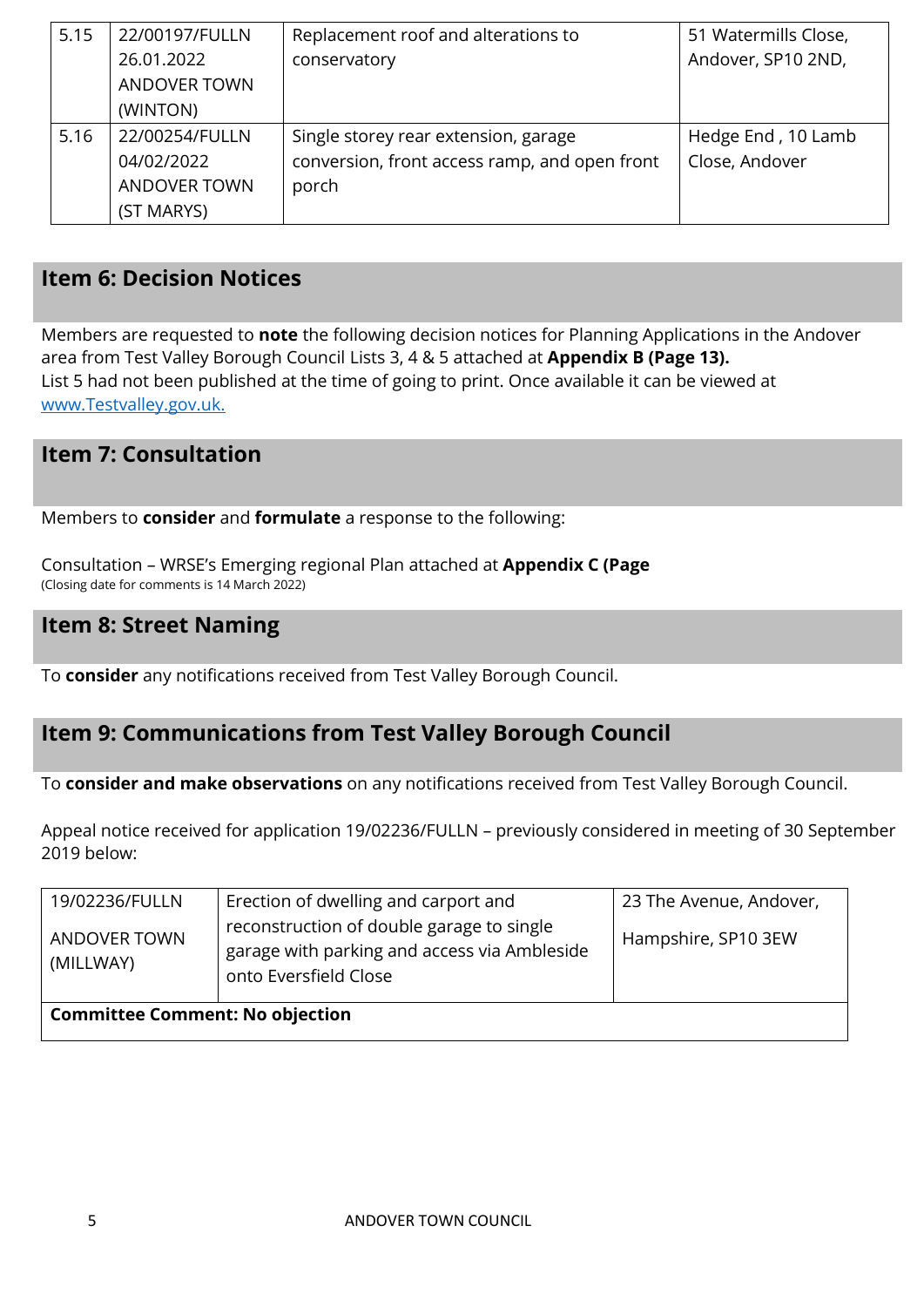| 5.15 | 22/00197/FULLN      | Replacement roof and alterations to           | 51 Watermills Close, |  |
|------|---------------------|-----------------------------------------------|----------------------|--|
|      | 26.01.2022          | conservatory                                  | Andover, SP10 2ND,   |  |
|      | <b>ANDOVER TOWN</b> |                                               |                      |  |
|      | (WINTON)            |                                               |                      |  |
| 5.16 | 22/00254/FULLN      | Single storey rear extension, garage          | Hedge End, 10 Lamb   |  |
|      | 04/02/2022          | conversion, front access ramp, and open front | Close, Andover       |  |
|      | <b>ANDOVER TOWN</b> | porch                                         |                      |  |
|      | (ST MARYS)          |                                               |                      |  |

## **Item 6: Decision Notices**

Members are requested to **note** the following decision notices for Planning Applications in the Andover area from Test Valley Borough Council Lists 3, 4 & 5 attached at **Appendix B (Page 13).**  List 5 had not been published at the time of going to print. Once available it can be viewed at [www.Testvalley.gov.uk.](http://www.testvalley.gov.uk/)

# **Item 7: Consultation**

Members to **consider** and **formulate** a response to the following:

Consultation – WRSE's Emerging regional Plan attached at **Appendix C (Page** (Closing date for comments is 14 March 2022)

## **Item 8: Street Naming**

To **consider** any notifications received from Test Valley Borough Council.

# **Item 9: Communications from Test Valley Borough Council**

To **consider and make observations** on any notifications received from Test Valley Borough Council.

Appeal notice received for application 19/02236/FULLN – previously considered in meeting of 30 September 2019 below:

| 19/02236/FULLN<br><b>ANDOVER TOWN</b><br>(MILLWAY) | Erection of dwelling and carport and<br>reconstruction of double garage to single<br>garage with parking and access via Ambleside<br>onto Eversfield Close | 23 The Avenue, Andover,<br>Hampshire, SP10 3EW |  |  |  |
|----------------------------------------------------|------------------------------------------------------------------------------------------------------------------------------------------------------------|------------------------------------------------|--|--|--|
| <b>Committee Comment: No objection</b>             |                                                                                                                                                            |                                                |  |  |  |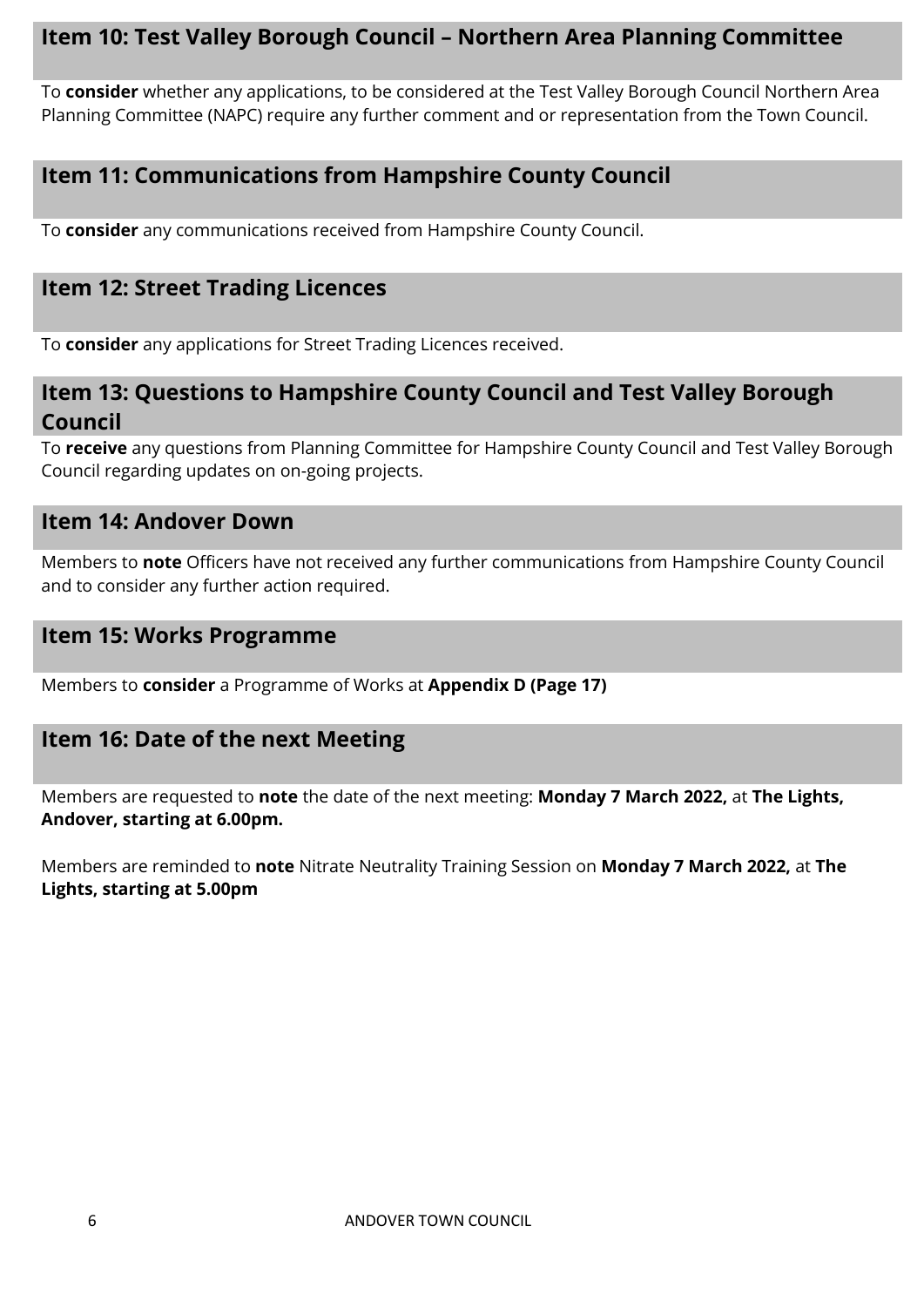## **Item 10: Test Valley Borough Council – Northern Area Planning Committee**

To **consider** whether any applications, to be considered at the Test Valley Borough Council Northern Area Planning Committee (NAPC) require any further comment and or representation from the Town Council.

# **Item 11: Communications from Hampshire County Council**

To **consider** any communications received from Hampshire County Council.

# **Item 12: Street Trading Licences**

To **consider** any applications for Street Trading Licences received.

## **Item 13: Questions to Hampshire County Council and Test Valley Borough Council**

To **receive** any questions from Planning Committee for Hampshire County Council and Test Valley Borough Council regarding updates on on-going projects.

## **Item 14: Andover Down**

Members to **note** Officers have not received any further communications from Hampshire County Council and to consider any further action required.

## **Item 15: Works Programme**

Members to **consider** a Programme of Works at **Appendix D (Page 17)**

## **Item 16: Date of the next Meeting**

Members are requested to **note** the date of the next meeting: **Monday 7 March 2022,** at **The Lights, Andover, starting at 6.00pm.**

Members are reminded to **note** Nitrate Neutrality Training Session on **Monday 7 March 2022,** at **The Lights, starting at 5.00pm**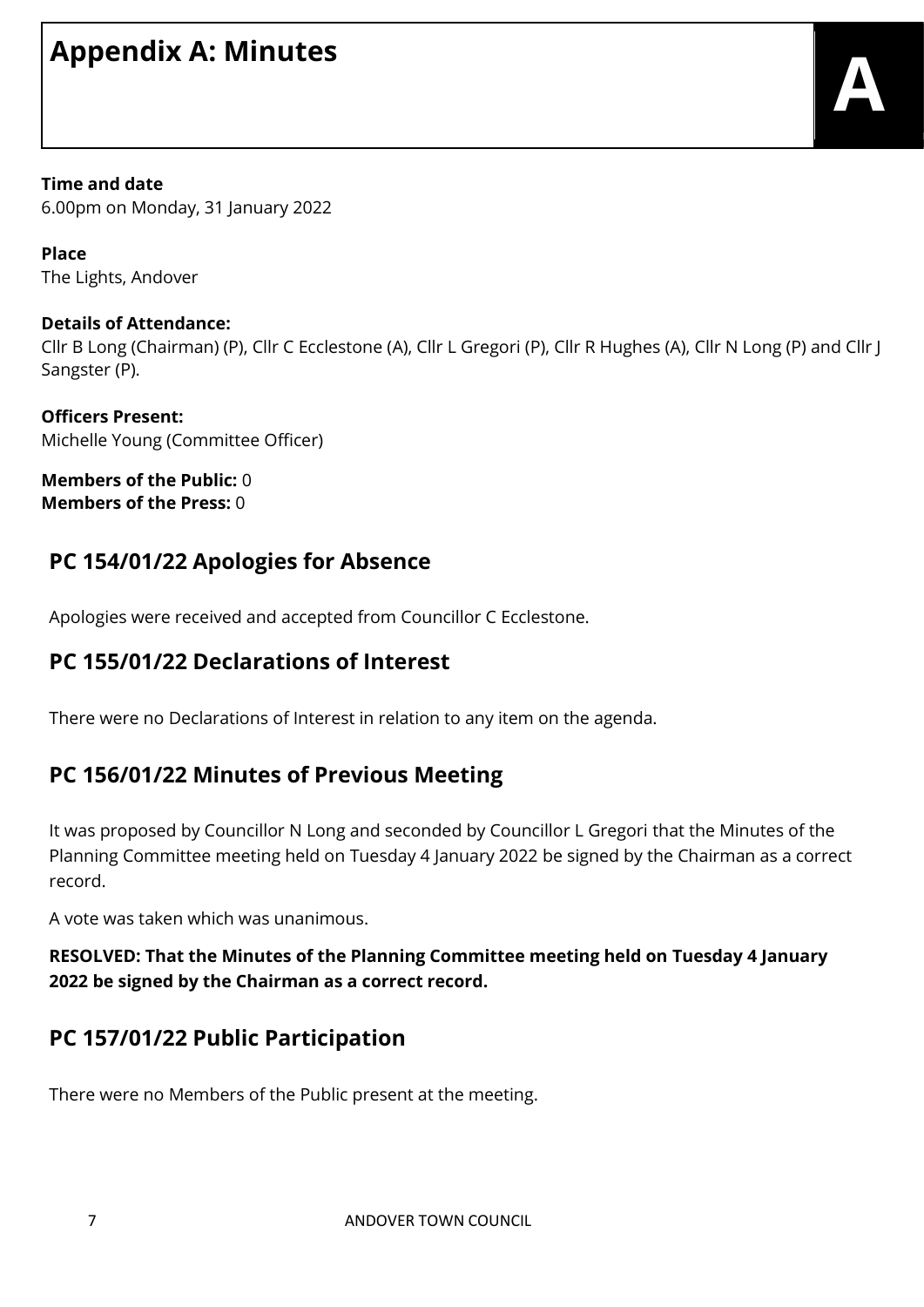# **Appendix A: Minutes**

**Time and date** 6.00pm on Monday, 31 January 2022

**Place** The Lights, Andover

# **Details of Attendance:**

Cllr B Long (Chairman) (P), Cllr C Ecclestone (A), Cllr L Gregori (P), Cllr R Hughes (A), Cllr N Long (P) and Cllr J Sangster (P).

**Officers Present:** Michelle Young (Committee Officer)

**Members of the Public:** 0 **Members of the Press:** 0

# **PC 154/01/22 Apologies for Absence**

Apologies were received and accepted from Councillor C Ecclestone.

# **PC 155/01/22 Declarations of Interest**

There were no Declarations of Interest in relation to any item on the agenda.

# **PC 156/01/22 Minutes of Previous Meeting**

It was proposed by Councillor N Long and seconded by Councillor L Gregori that the Minutes of the Planning Committee meeting held on Tuesday 4 January 2022 be signed by the Chairman as a correct record.

A vote was taken which was unanimous.

## **RESOLVED: That the Minutes of the Planning Committee meeting held on Tuesday 4 January 2022 be signed by the Chairman as a correct record.**

# **PC 157/01/22 Public Participation**

There were no Members of the Public present at the meeting.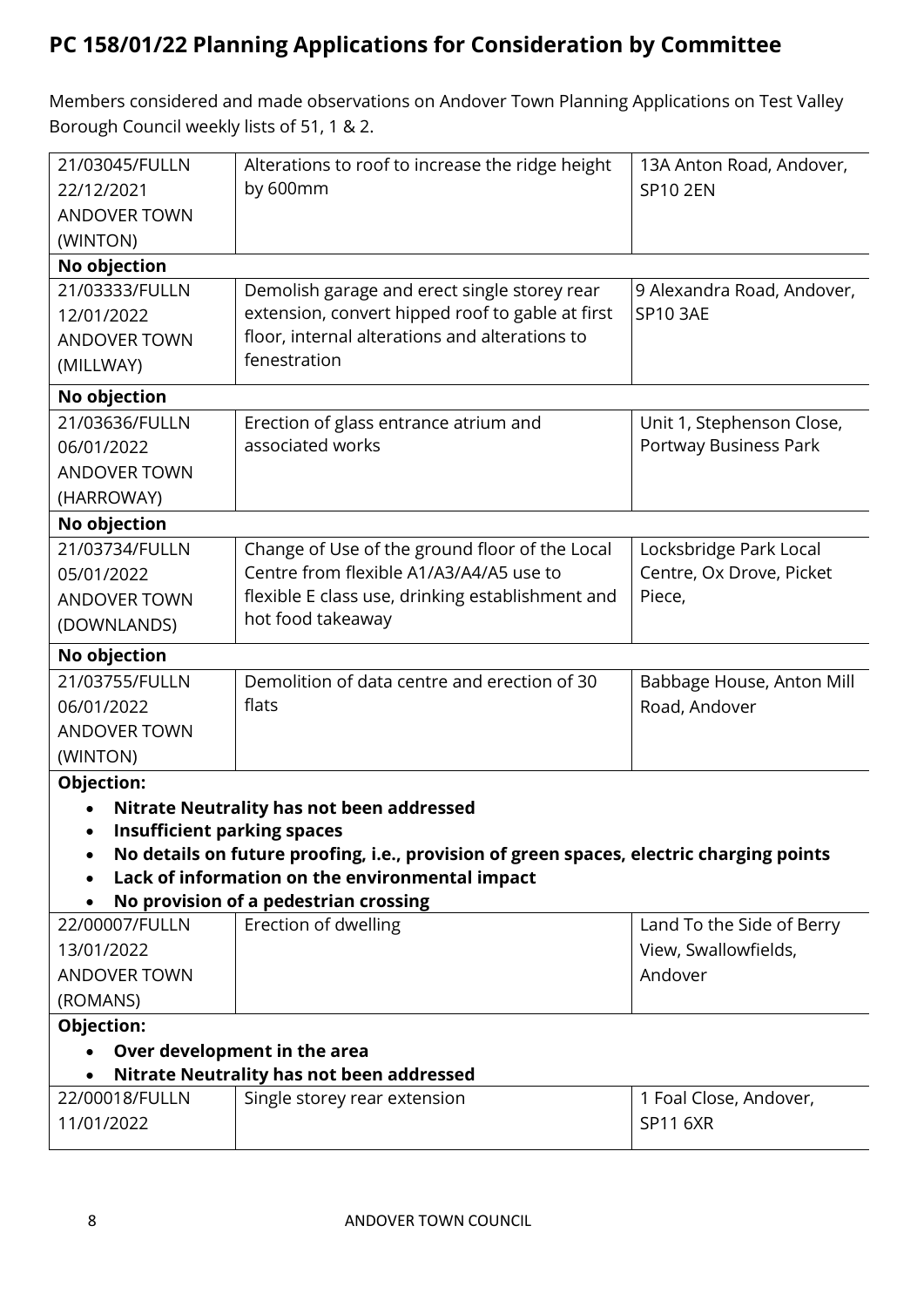# **PC 158/01/22 Planning Applications for Consideration by Committee**

Members considered and made observations on Andover Town Planning Applications on Test Valley Borough Council weekly lists of 51, 1 & 2.

| 21/03045/FULLN                     | Alterations to roof to increase the ridge height                                         | 13A Anton Road, Andover,   |
|------------------------------------|------------------------------------------------------------------------------------------|----------------------------|
| 22/12/2021                         | by 600mm                                                                                 | <b>SP10 2EN</b>            |
| <b>ANDOVER TOWN</b>                |                                                                                          |                            |
| (WINTON)                           |                                                                                          |                            |
| No objection                       |                                                                                          |                            |
| 21/03333/FULLN                     | Demolish garage and erect single storey rear                                             | 9 Alexandra Road, Andover, |
| 12/01/2022                         | extension, convert hipped roof to gable at first                                         | <b>SP10 3AE</b>            |
| <b>ANDOVER TOWN</b>                | floor, internal alterations and alterations to<br>fenestration                           |                            |
| (MILLWAY)                          |                                                                                          |                            |
| No objection                       |                                                                                          |                            |
| 21/03636/FULLN                     | Erection of glass entrance atrium and                                                    | Unit 1, Stephenson Close,  |
| 06/01/2022                         | associated works                                                                         | Portway Business Park      |
| <b>ANDOVER TOWN</b>                |                                                                                          |                            |
| (HARROWAY)                         |                                                                                          |                            |
| No objection                       |                                                                                          |                            |
| 21/03734/FULLN                     | Change of Use of the ground floor of the Local                                           | Locksbridge Park Local     |
| 05/01/2022                         | Centre from flexible A1/A3/A4/A5 use to                                                  | Centre, Ox Drove, Picket   |
| <b>ANDOVER TOWN</b>                | flexible E class use, drinking establishment and                                         | Piece,                     |
| (DOWNLANDS)                        | hot food takeaway                                                                        |                            |
| No objection                       |                                                                                          |                            |
| 21/03755/FULLN                     | Demolition of data centre and erection of 30                                             | Babbage House, Anton Mill  |
| 06/01/2022                         | flats                                                                                    | Road, Andover              |
| <b>ANDOVER TOWN</b>                |                                                                                          |                            |
| (WINTON)                           |                                                                                          |                            |
| Objection:                         |                                                                                          |                            |
|                                    | <b>Nitrate Neutrality has not been addressed</b>                                         |                            |
| <b>Insufficient parking spaces</b> |                                                                                          |                            |
| $\bullet$                          | No details on future proofing, i.e., provision of green spaces, electric charging points |                            |
|                                    | Lack of information on the environmental impact                                          |                            |
|                                    | No provision of a pedestrian crossing                                                    |                            |
| 22/00007/FULLN                     | Erection of dwelling                                                                     | Land To the Side of Berry  |
| 13/01/2022                         |                                                                                          | View, Swallowfields,       |
| <b>ANDOVER TOWN</b>                |                                                                                          | Andover                    |
| (ROMANS)                           |                                                                                          |                            |
| Objection:                         |                                                                                          |                            |
|                                    | Over development in the area                                                             |                            |
|                                    | <b>Nitrate Neutrality has not been addressed</b>                                         |                            |
| 22/00018/FULLN                     | Single storey rear extension                                                             | 1 Foal Close, Andover,     |
| 11/01/2022                         |                                                                                          | <b>SP11 6XR</b>            |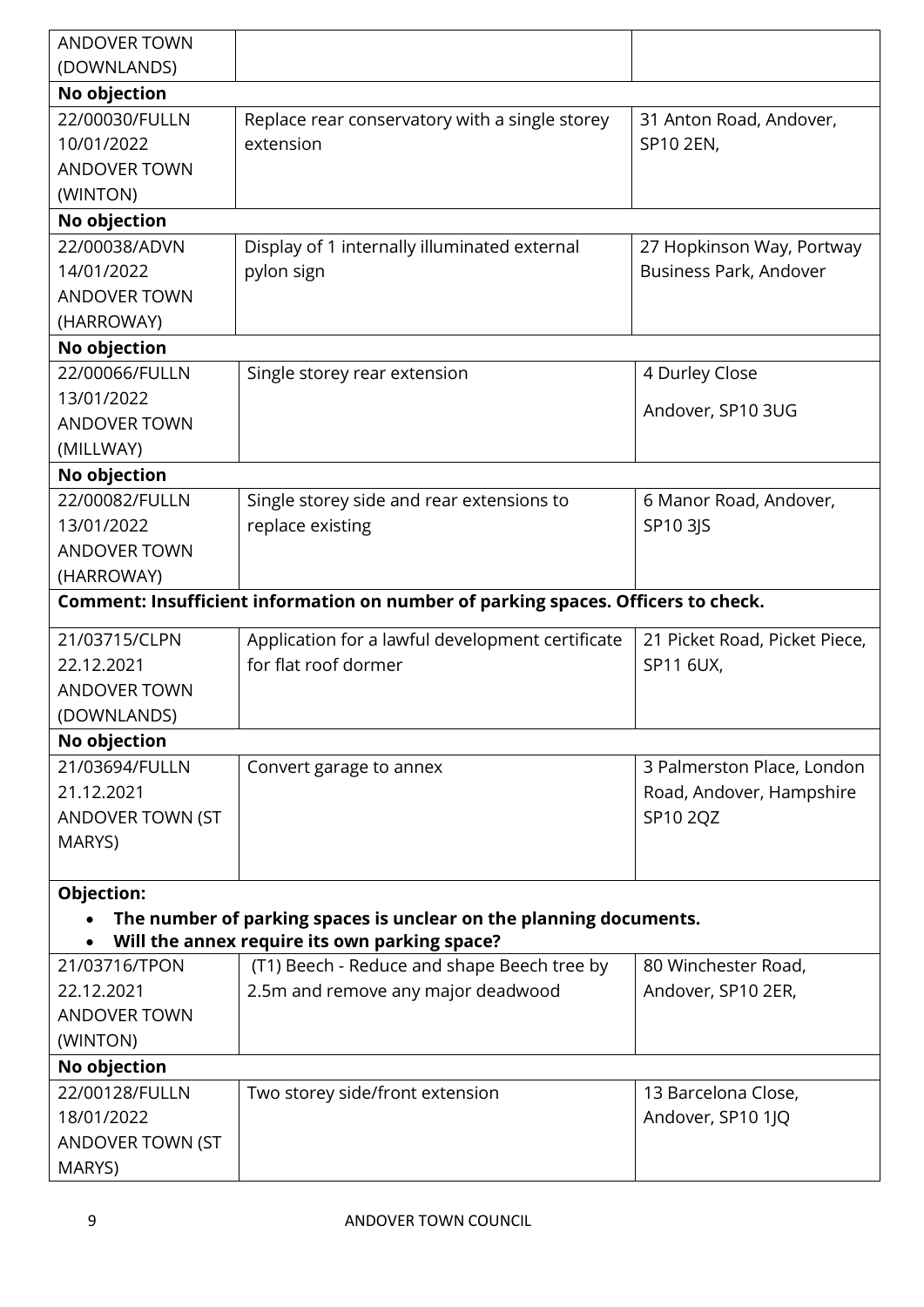| <b>ANDOVER TOWN</b> |                                                                                   |                               |
|---------------------|-----------------------------------------------------------------------------------|-------------------------------|
| (DOWNLANDS)         |                                                                                   |                               |
| No objection        |                                                                                   |                               |
| 22/00030/FULLN      | Replace rear conservatory with a single storey                                    | 31 Anton Road, Andover,       |
| 10/01/2022          | extension                                                                         | SP10 2EN,                     |
| <b>ANDOVER TOWN</b> |                                                                                   |                               |
| (WINTON)            |                                                                                   |                               |
| No objection        |                                                                                   |                               |
| 22/00038/ADVN       | Display of 1 internally illuminated external                                      | 27 Hopkinson Way, Portway     |
| 14/01/2022          | pylon sign                                                                        | Business Park, Andover        |
| <b>ANDOVER TOWN</b> |                                                                                   |                               |
| (HARROWAY)          |                                                                                   |                               |
| No objection        |                                                                                   |                               |
| 22/00066/FULLN      | Single storey rear extension                                                      | 4 Durley Close                |
| 13/01/2022          |                                                                                   | Andover, SP10 3UG             |
| <b>ANDOVER TOWN</b> |                                                                                   |                               |
| (MILLWAY)           |                                                                                   |                               |
| No objection        |                                                                                   |                               |
| 22/00082/FULLN      | Single storey side and rear extensions to                                         | 6 Manor Road, Andover,        |
| 13/01/2022          | replace existing                                                                  | SP10 3JS                      |
| <b>ANDOVER TOWN</b> |                                                                                   |                               |
| (HARROWAY)          |                                                                                   |                               |
|                     | Comment: Insufficient information on number of parking spaces. Officers to check. |                               |
| 21/03715/CLPN       | Application for a lawful development certificate                                  | 21 Picket Road, Picket Piece, |
| 22.12.2021          | for flat roof dormer                                                              | SP11 6UX,                     |
| <b>ANDOVER TOWN</b> |                                                                                   |                               |
| (DOWNLANDS)         |                                                                                   |                               |
| No objection        |                                                                                   |                               |
| 21/03694/FULLN      | Convert garage to annex                                                           | 3 Palmerston Place, London    |
| 21.12.2021          |                                                                                   | Road, Andover, Hampshire      |
| ANDOVER TOWN (ST    |                                                                                   | SP10 2QZ                      |
| MARYS)              |                                                                                   |                               |
|                     |                                                                                   |                               |
| <b>Objection:</b>   |                                                                                   |                               |
|                     | The number of parking spaces is unclear on the planning documents.                |                               |
|                     | Will the annex require its own parking space?                                     |                               |
| 21/03716/TPON       | (T1) Beech - Reduce and shape Beech tree by                                       | 80 Winchester Road,           |
| 22.12.2021          | 2.5m and remove any major deadwood                                                | Andover, SP10 2ER,            |
| <b>ANDOVER TOWN</b> |                                                                                   |                               |
| (WINTON)            |                                                                                   |                               |
| No objection        |                                                                                   |                               |
| 22/00128/FULLN      | Two storey side/front extension                                                   | 13 Barcelona Close,           |
| 18/01/2022          |                                                                                   | Andover, SP10 1JQ             |
| ANDOVER TOWN (ST    |                                                                                   |                               |
| MARYS)              |                                                                                   |                               |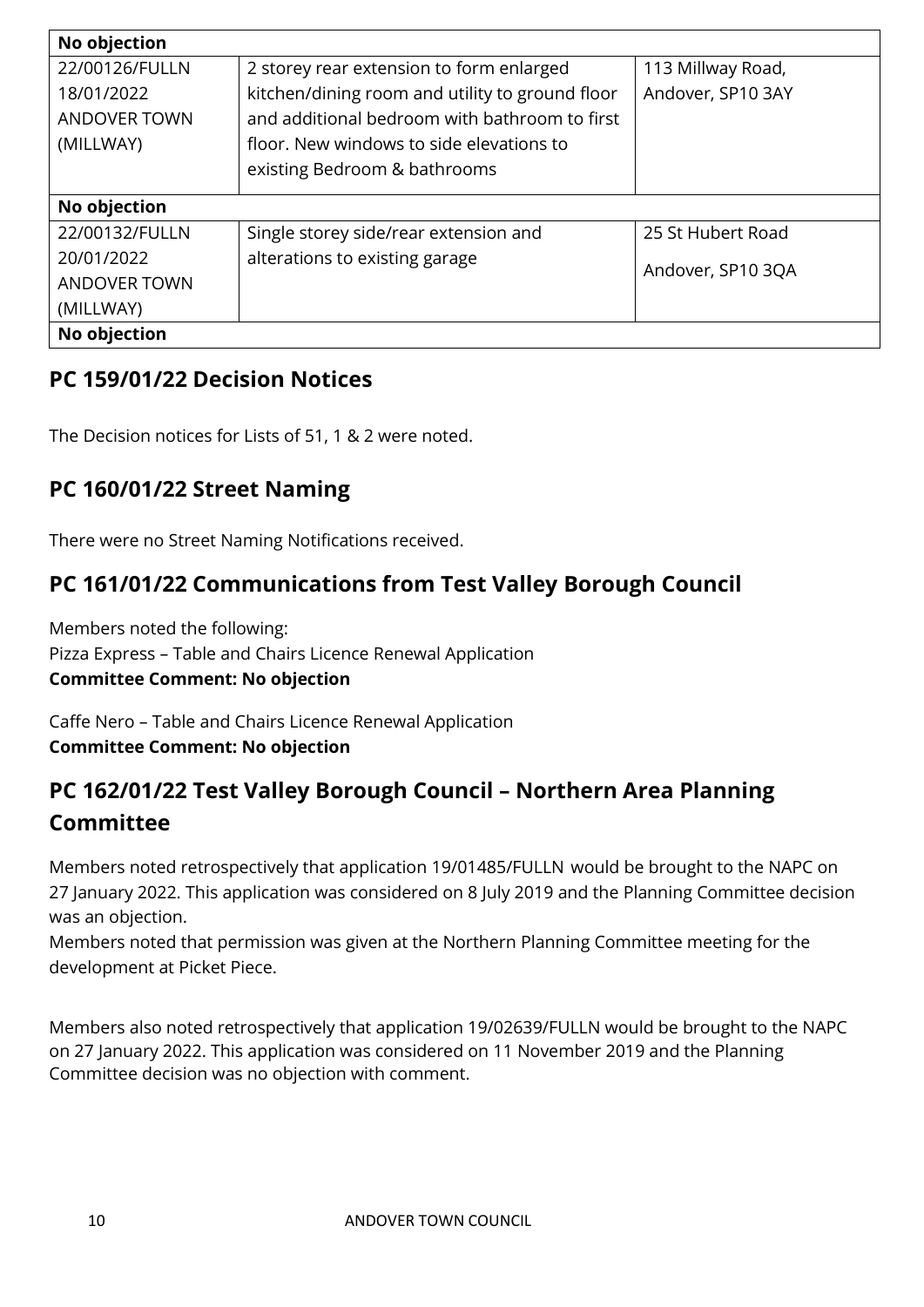| No objection        |                                                 |                   |
|---------------------|-------------------------------------------------|-------------------|
| 22/00126/FULLN      | 2 storey rear extension to form enlarged        | 113 Millway Road, |
| 18/01/2022          | kitchen/dining room and utility to ground floor | Andover, SP10 3AY |
| <b>ANDOVER TOWN</b> | and additional bedroom with bathroom to first   |                   |
| (MILLWAY)           | floor. New windows to side elevations to        |                   |
|                     | existing Bedroom & bathrooms                    |                   |
| No objection        |                                                 |                   |
|                     |                                                 |                   |
| 22/00132/FULLN      | Single storey side/rear extension and           | 25 St Hubert Road |
| 20/01/2022          | alterations to existing garage                  | Andover, SP10 3QA |
| <b>ANDOVER TOWN</b> |                                                 |                   |
| (MILLWAY)           |                                                 |                   |
| No objection        |                                                 |                   |

# **PC 159/01/22 Decision Notices**

The Decision notices for Lists of 51, 1 & 2 were noted.

# **PC 160/01/22 Street Naming**

There were no Street Naming Notifications received.

# **PC 161/01/22 Communications from Test Valley Borough Council**

Members noted the following: Pizza Express – Table and Chairs Licence Renewal Application **Committee Comment: No objection**

Caffe Nero – Table and Chairs Licence Renewal Application **Committee Comment: No objection**

# **PC 162/01/22 Test Valley Borough Council – Northern Area Planning Committee**

Members noted retrospectively that application 19/01485/FULLN would be brought to the NAPC on 27 January 2022. This application was considered on 8 July 2019 and the Planning Committee decision was an objection.

Members noted that permission was given at the Northern Planning Committee meeting for the development at Picket Piece.

Members also noted retrospectively that application 19/02639/FULLN would be brought to the NAPC on 27 January 2022. This application was considered on 11 November 2019 and the Planning Committee decision was no objection with comment.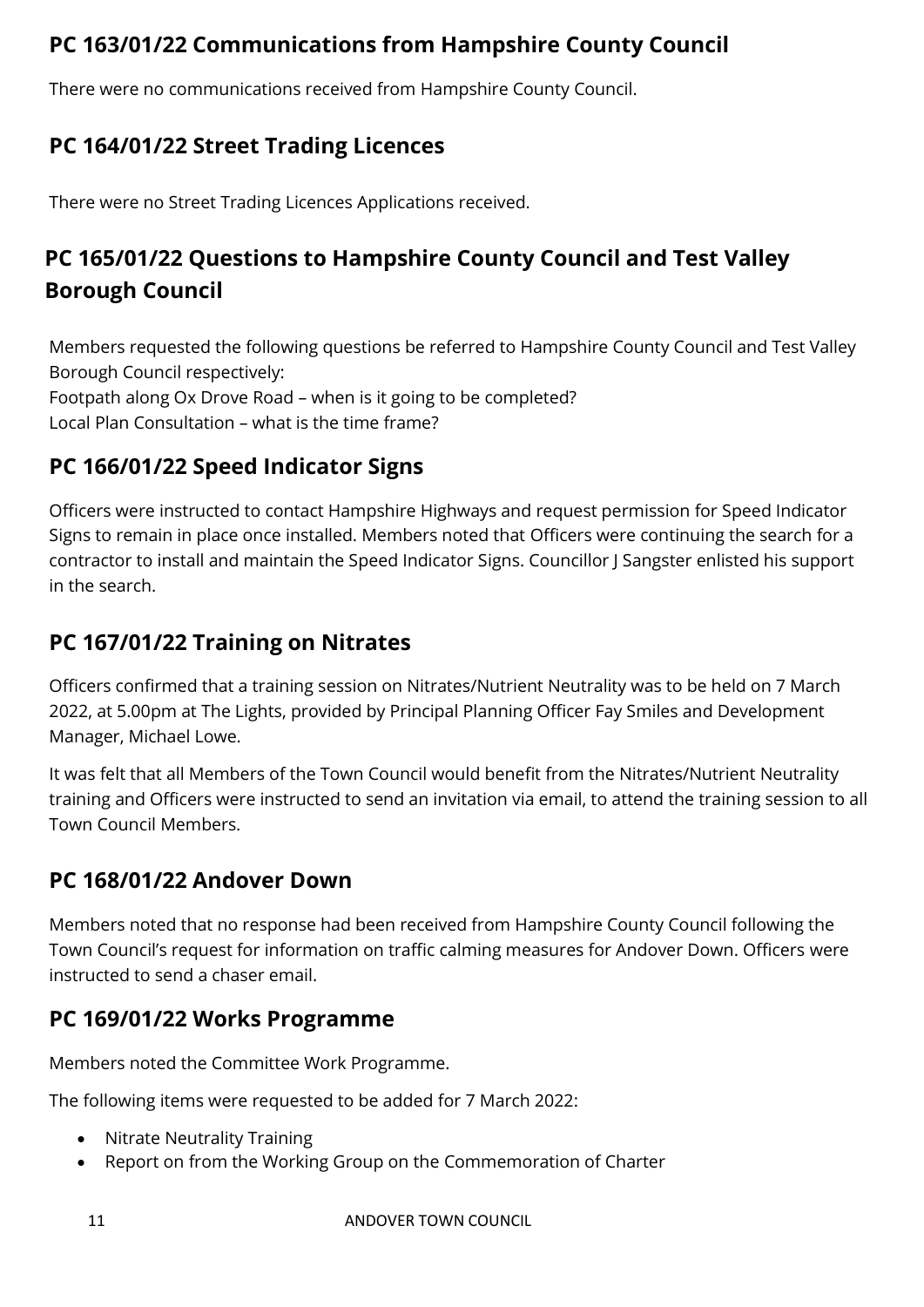# **PC 163/01/22 Communications from Hampshire County Council**

There were no communications received from Hampshire County Council.

# **PC 164/01/22 Street Trading Licences**

There were no Street Trading Licences Applications received.

# **PC 165/01/22 Questions to Hampshire County Council and Test Valley Borough Council**

Members requested the following questions be referred to Hampshire County Council and Test Valley Borough Council respectively: Footpath along Ox Drove Road – when is it going to be completed? Local Plan Consultation – what is the time frame?

# **PC 166/01/22 Speed Indicator Signs**

Officers were instructed to contact Hampshire Highways and request permission for Speed Indicator Signs to remain in place once installed. Members noted that Officers were continuing the search for a contractor to install and maintain the Speed Indicator Signs. Councillor J Sangster enlisted his support in the search.

# **PC 167/01/22 Training on Nitrates**

Officers confirmed that a training session on Nitrates/Nutrient Neutrality was to be held on 7 March 2022, at 5.00pm at The Lights, provided by Principal Planning Officer Fay Smiles and Development Manager, Michael Lowe.

It was felt that all Members of the Town Council would benefit from the Nitrates/Nutrient Neutrality training and Officers were instructed to send an invitation via email, to attend the training session to all Town Council Members.

# **PC 168/01/22 Andover Down**

Members noted that no response had been received from Hampshire County Council following the Town Council's request for information on traffic calming measures for Andover Down. Officers were instructed to send a chaser email.

# **PC 169/01/22 Works Programme**

Members noted the Committee Work Programme.

The following items were requested to be added for 7 March 2022:

- Nitrate Neutrality Training
- Report on from the Working Group on the Commemoration of Charter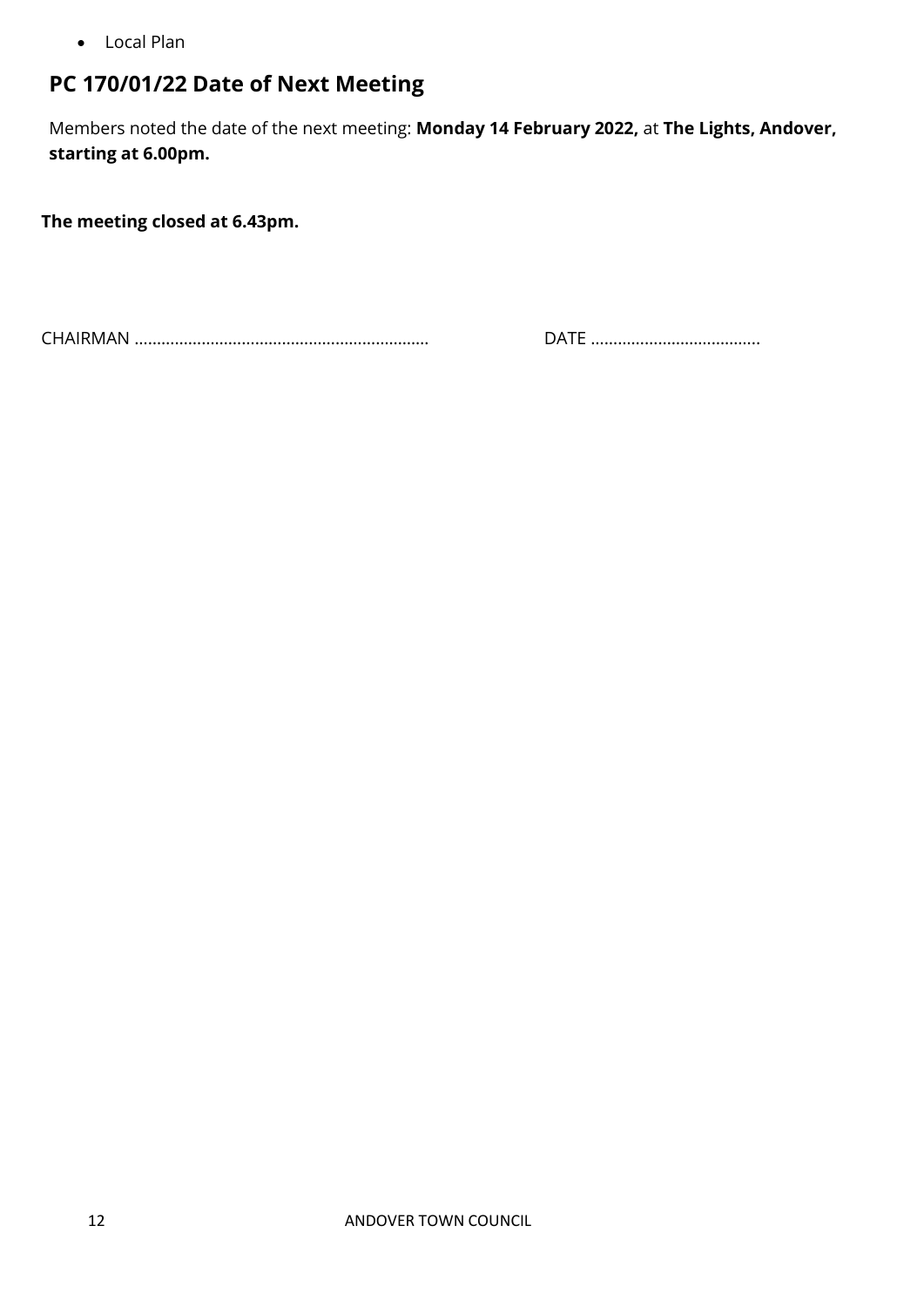• Local Plan

# **PC 170/01/22 Date of Next Meeting**

Members noted the date of the next meeting: **Monday 14 February 2022,** at **The Lights, Andover, starting at 6.00pm.**

**The meeting closed at 6.43pm.**

CHAIRMAN ………………………………………………………… DATE ………………………………..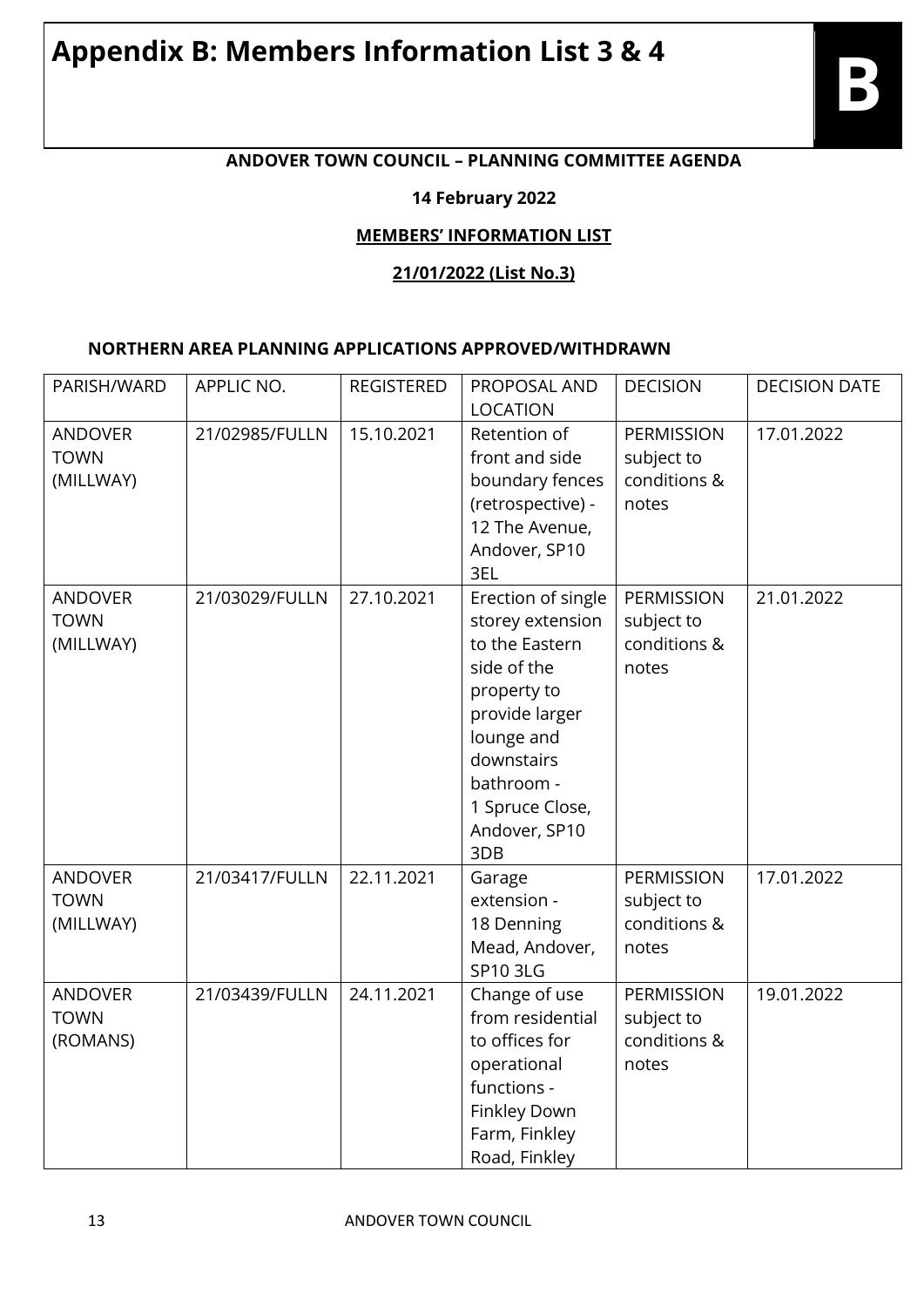# **Appendix B: Members Information List 3 & 4**

## **ANDOVER TOWN COUNCIL – PLANNING COMMITTEE AGENDA**

#### **14 February 2022**

#### **MEMBERS' INFORMATION LIST**

#### **21/01/2022 (List No.3)**

#### **NORTHERN AREA PLANNING APPLICATIONS APPROVED/WITHDRAWN**

| PARISH/WARD                                | APPLIC NO.     | <b>REGISTERED</b> | PROPOSAL AND<br><b>LOCATION</b>                                                                                                                                                               | <b>DECISION</b>                                          | <b>DECISION DATE</b> |
|--------------------------------------------|----------------|-------------------|-----------------------------------------------------------------------------------------------------------------------------------------------------------------------------------------------|----------------------------------------------------------|----------------------|
| <b>ANDOVER</b><br><b>TOWN</b><br>(MILLWAY) | 21/02985/FULLN | 15.10.2021        | Retention of<br>front and side<br>boundary fences<br>(retrospective) -<br>12 The Avenue,<br>Andover, SP10<br>3EL                                                                              | PERMISSION<br>subject to<br>conditions &<br>notes        | 17.01.2022           |
| <b>ANDOVER</b><br><b>TOWN</b><br>(MILLWAY) | 21/03029/FULLN | 27.10.2021        | Erection of single<br>storey extension<br>to the Eastern<br>side of the<br>property to<br>provide larger<br>lounge and<br>downstairs<br>bathroom -<br>1 Spruce Close,<br>Andover, SP10<br>3DB | <b>PERMISSION</b><br>subject to<br>conditions &<br>notes | 21.01.2022           |
| <b>ANDOVER</b><br><b>TOWN</b><br>(MILLWAY) | 21/03417/FULLN | 22.11.2021        | Garage<br>extension -<br>18 Denning<br>Mead, Andover,<br><b>SP10 3LG</b>                                                                                                                      | <b>PERMISSION</b><br>subject to<br>conditions &<br>notes | 17.01.2022           |
| <b>ANDOVER</b><br><b>TOWN</b><br>(ROMANS)  | 21/03439/FULLN | 24.11.2021        | Change of use<br>from residential<br>to offices for<br>operational<br>functions -<br>Finkley Down<br>Farm, Finkley<br>Road, Finkley                                                           | <b>PERMISSION</b><br>subject to<br>conditions &<br>notes | 19.01.2022           |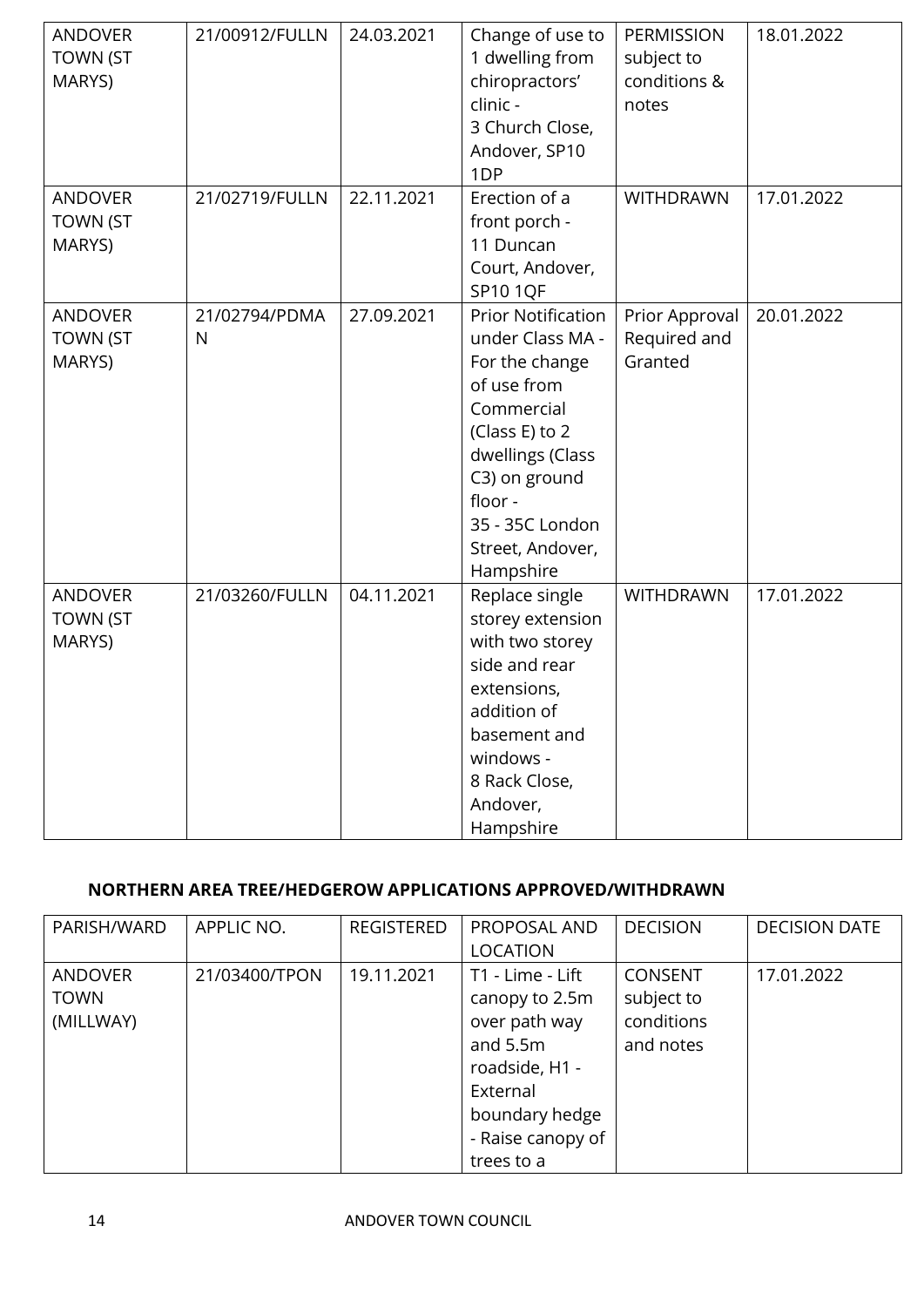| <b>ANDOVER</b><br><b>TOWN (ST</b><br>MARYS) | 21/00912/FULLN     | 24.03.2021 | Change of use to<br>1 dwelling from<br>chiropractors'<br>clinic -<br>3 Church Close,<br>Andover, SP10<br>1DP                                                                                                       | PERMISSION<br>subject to<br>conditions &<br>notes | 18.01.2022 |
|---------------------------------------------|--------------------|------------|--------------------------------------------------------------------------------------------------------------------------------------------------------------------------------------------------------------------|---------------------------------------------------|------------|
| <b>ANDOVER</b><br><b>TOWN (ST</b><br>MARYS) | 21/02719/FULLN     | 22.11.2021 | Erection of a<br>front porch -<br>11 Duncan<br>Court, Andover,<br><b>SP10 1QF</b>                                                                                                                                  | <b>WITHDRAWN</b>                                  | 17.01.2022 |
| <b>ANDOVER</b><br><b>TOWN (ST</b><br>MARYS) | 21/02794/PDMA<br>N | 27.09.2021 | <b>Prior Notification</b><br>under Class MA -<br>For the change<br>of use from<br>Commercial<br>(Class E) to 2<br>dwellings (Class<br>C3) on ground<br>floor -<br>35 - 35C London<br>Street, Andover,<br>Hampshire | Prior Approval<br>Required and<br>Granted         | 20.01.2022 |
| <b>ANDOVER</b><br><b>TOWN (ST</b><br>MARYS) | 21/03260/FULLN     | 04.11.2021 | Replace single<br>storey extension<br>with two storey<br>side and rear<br>extensions,<br>addition of<br>basement and<br>windows -<br>8 Rack Close,<br>Andover,<br>Hampshire                                        | WITHDRAWN                                         | 17.01.2022 |

## **NORTHERN AREA TREE/HEDGEROW APPLICATIONS APPROVED/WITHDRAWN**

| PARISH/WARD    | APPLIC NO.    | <b>REGISTERED</b> | PROPOSAL AND      | <b>DECISION</b> | <b>DECISION DATE</b> |
|----------------|---------------|-------------------|-------------------|-----------------|----------------------|
|                |               |                   | <b>LOCATION</b>   |                 |                      |
| <b>ANDOVER</b> | 21/03400/TPON | 19.11.2021        | T1 - Lime - Lift  | <b>CONSENT</b>  | 17.01.2022           |
| <b>TOWN</b>    |               |                   | canopy to 2.5m    | subject to      |                      |
| (MILLWAY)      |               |                   | over path way     | conditions      |                      |
|                |               |                   | and $5.5m$        | and notes       |                      |
|                |               |                   | roadside, H1 -    |                 |                      |
|                |               |                   | External          |                 |                      |
|                |               |                   | boundary hedge    |                 |                      |
|                |               |                   | - Raise canopy of |                 |                      |
|                |               |                   | trees to a        |                 |                      |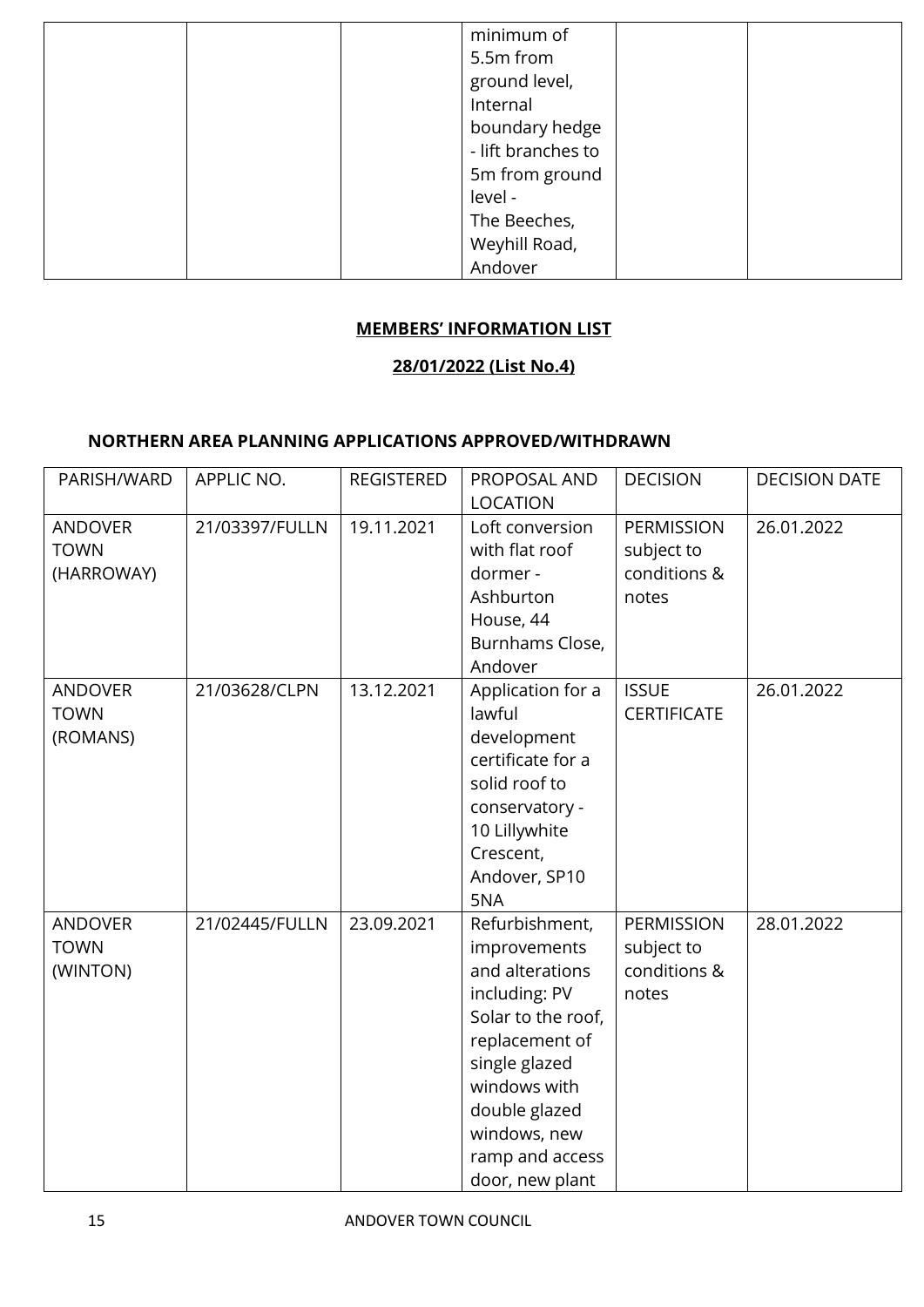| minimum of<br>5.5m from<br>ground level,<br>Internal<br>boundary hedge<br>- lift branches to<br>5m from ground<br>level -<br>The Beeches, |  |
|-------------------------------------------------------------------------------------------------------------------------------------------|--|
| Weyhill Road,<br>Andover                                                                                                                  |  |

#### **MEMBERS' INFORMATION LIST**

#### **28/01/2022 (List No.4)**

#### **NORTHERN AREA PLANNING APPLICATIONS APPROVED/WITHDRAWN**

| PARISH/WARD                                 | APPLIC NO.     | <b>REGISTERED</b> | PROPOSAL AND<br><b>LOCATION</b>                                                                                                                                                                                    | <b>DECISION</b>                                          | <b>DECISION DATE</b> |
|---------------------------------------------|----------------|-------------------|--------------------------------------------------------------------------------------------------------------------------------------------------------------------------------------------------------------------|----------------------------------------------------------|----------------------|
| <b>ANDOVER</b><br><b>TOWN</b><br>(HARROWAY) | 21/03397/FULLN | 19.11.2021        | Loft conversion<br>with flat roof<br>dormer -<br>Ashburton<br>House, 44<br>Burnhams Close,<br>Andover                                                                                                              | PERMISSION<br>subject to<br>conditions &<br>notes        | 26.01.2022           |
| <b>ANDOVER</b><br><b>TOWN</b><br>(ROMANS)   | 21/03628/CLPN  | 13.12.2021        | Application for a<br>lawful<br>development<br>certificate for a<br>solid roof to<br>conservatory -<br>10 Lillywhite<br>Crescent,<br>Andover, SP10<br>5NA                                                           | <b>ISSUE</b><br><b>CERTIFICATE</b>                       | 26.01.2022           |
| <b>ANDOVER</b><br><b>TOWN</b><br>(WINTON)   | 21/02445/FULLN | 23.09.2021        | Refurbishment,<br>improvements<br>and alterations<br>including: PV<br>Solar to the roof,<br>replacement of<br>single glazed<br>windows with<br>double glazed<br>windows, new<br>ramp and access<br>door, new plant | <b>PERMISSION</b><br>subject to<br>conditions &<br>notes | 28.01.2022           |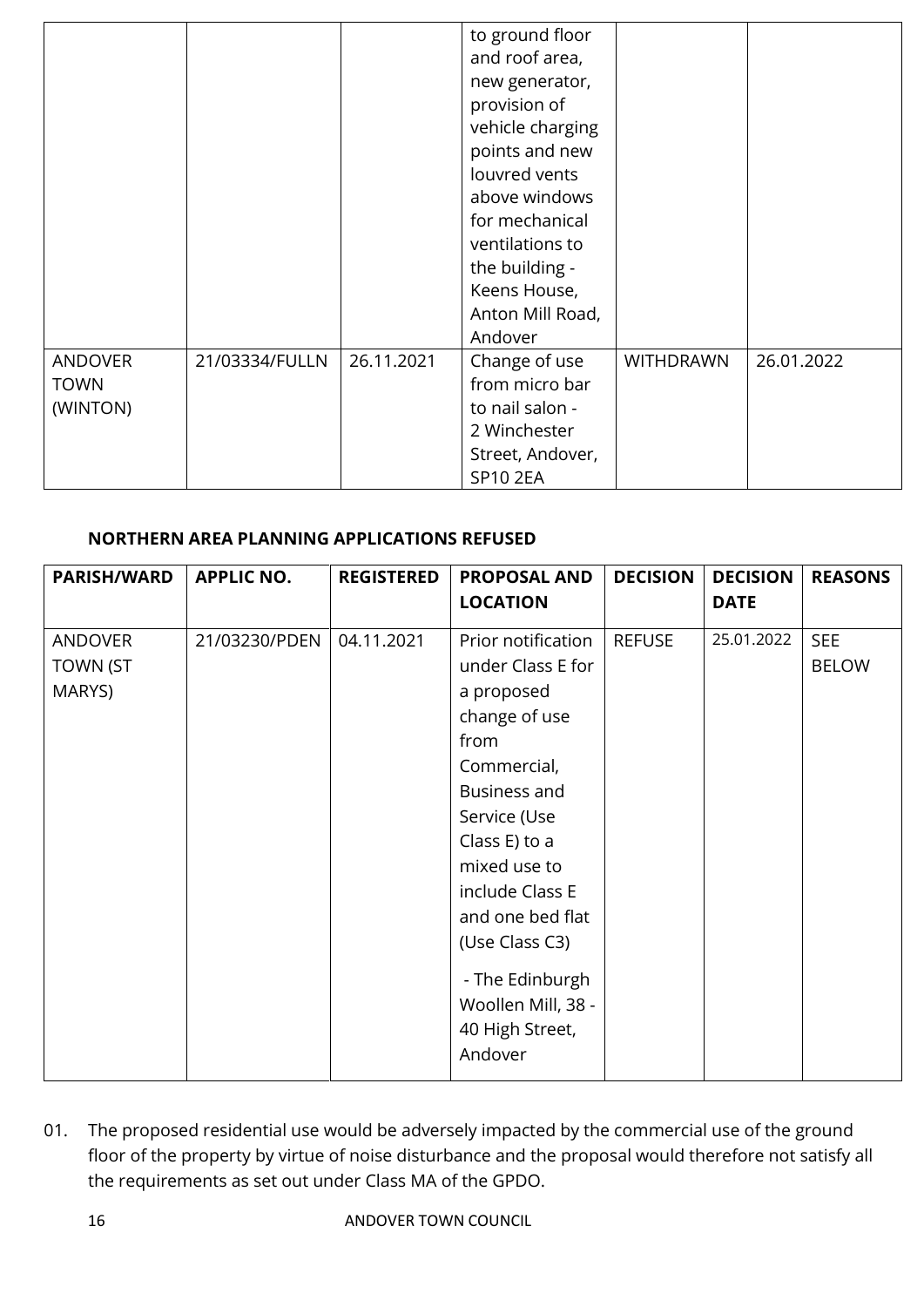|                                           |                |            | to ground floor<br>and roof area,<br>new generator,<br>provision of<br>vehicle charging<br>points and new<br>louvred vents<br>above windows<br>for mechanical<br>ventilations to<br>the building -<br>Keens House,<br>Anton Mill Road,<br>Andover |                  |            |
|-------------------------------------------|----------------|------------|---------------------------------------------------------------------------------------------------------------------------------------------------------------------------------------------------------------------------------------------------|------------------|------------|
| <b>ANDOVER</b><br><b>TOWN</b><br>(WINTON) | 21/03334/FULLN | 26.11.2021 | Change of use<br>from micro bar<br>to nail salon -<br>2 Winchester<br>Street, Andover,<br><b>SP10 2EA</b>                                                                                                                                         | <b>WITHDRAWN</b> | 26.01.2022 |

#### **NORTHERN AREA PLANNING APPLICATIONS REFUSED**

| <b>PARISH/WARD</b> | <b>APPLIC NO.</b> | <b>REGISTERED</b> | <b>PROPOSAL AND</b> | <b>DECISION</b> | <b>DECISION</b> | <b>REASONS</b> |
|--------------------|-------------------|-------------------|---------------------|-----------------|-----------------|----------------|
|                    |                   |                   | <b>LOCATION</b>     |                 | <b>DATE</b>     |                |
| <b>ANDOVER</b>     | 21/03230/PDEN     | 04.11.2021        | Prior notification  | <b>REFUSE</b>   | 25.01.2022      | <b>SEE</b>     |
| TOWN (ST           |                   |                   | under Class E for   |                 |                 | <b>BELOW</b>   |
| MARYS)             |                   |                   | a proposed          |                 |                 |                |
|                    |                   |                   | change of use       |                 |                 |                |
|                    |                   |                   | from                |                 |                 |                |
|                    |                   |                   | Commercial,         |                 |                 |                |
|                    |                   |                   | <b>Business and</b> |                 |                 |                |
|                    |                   |                   | Service (Use        |                 |                 |                |
|                    |                   |                   | Class E) to a       |                 |                 |                |
|                    |                   |                   | mixed use to        |                 |                 |                |
|                    |                   |                   | include Class E     |                 |                 |                |
|                    |                   |                   | and one bed flat    |                 |                 |                |
|                    |                   |                   | (Use Class C3)      |                 |                 |                |
|                    |                   |                   | - The Edinburgh     |                 |                 |                |
|                    |                   |                   | Woollen Mill, 38 -  |                 |                 |                |
|                    |                   |                   | 40 High Street,     |                 |                 |                |
|                    |                   |                   | Andover             |                 |                 |                |

01. The proposed residential use would be adversely impacted by the commercial use of the ground floor of the property by virtue of noise disturbance and the proposal would therefore not satisfy all the requirements as set out under Class MA of the GPDO.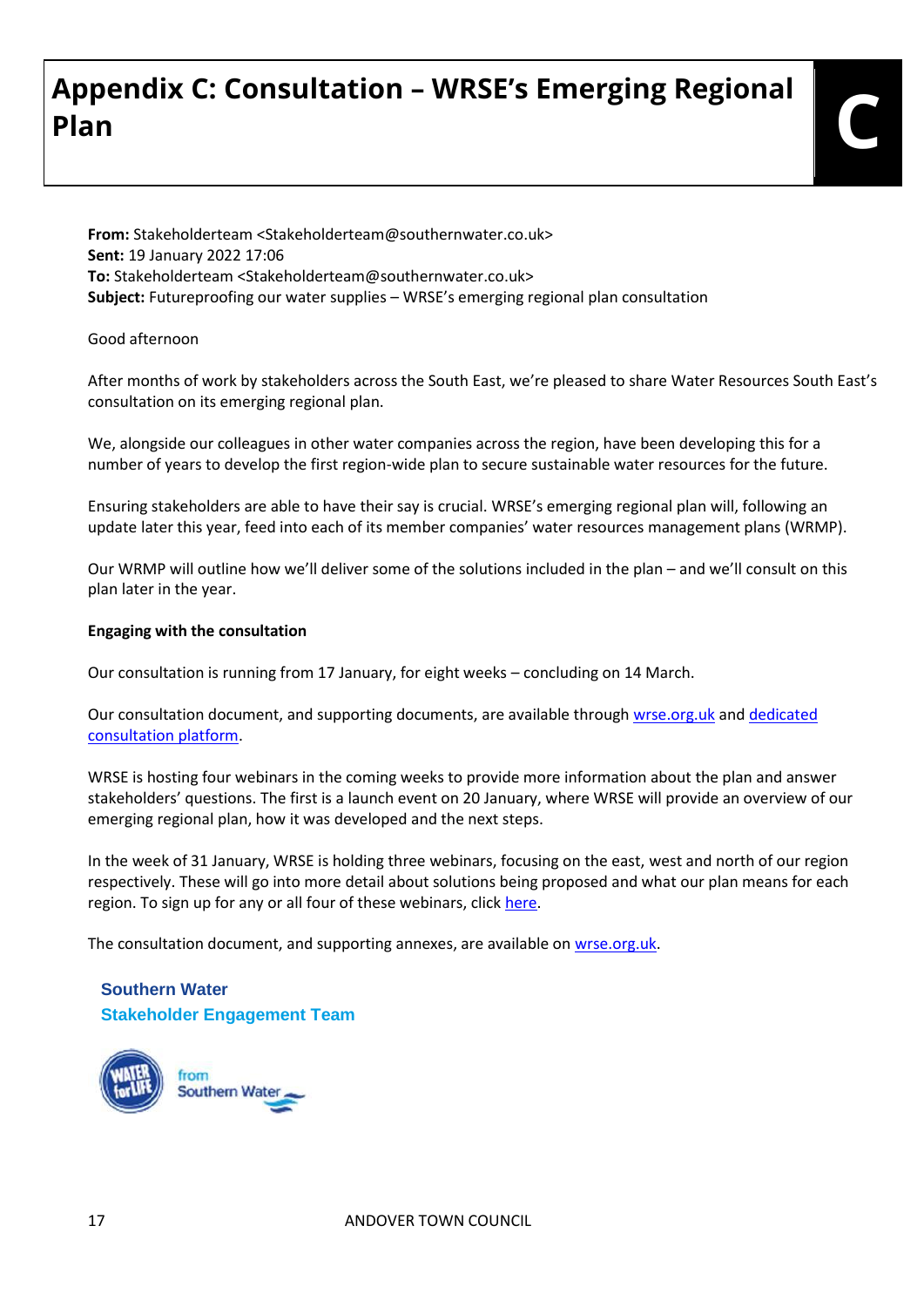# **Appendix C: Consultation – WRSE's Emerging Regional Plan C**

**From:** Stakeholderteam <Stakeholderteam@southernwater.co.uk> **Sent:** 19 January 2022 17:06 **To:** Stakeholderteam <Stakeholderteam@southernwater.co.uk> **Subject:** Futureproofing our water supplies – WRSE's emerging regional plan consultation

#### Good afternoon

After months of work by stakeholders across the South East, we're pleased to share Water Resources South East's consultation on its emerging regional plan.

We, alongside our colleagues in other water companies across the region, have been developing this for a number of years to develop the first region-wide plan to secure sustainable water resources for the future.

Ensuring stakeholders are able to have their say is crucial. WRSE's emerging regional plan will, following an update later this year, feed into each of its member companies' water resources management plans (WRMP).

Our WRMP will outline how we'll deliver some of the solutions included in the plan – and we'll consult on this plan later in the year.

#### **Engaging with the consultation**

Our consultation is running from 17 January, for eight weeks – concluding on 14 March.

Our consultation document, and supporting documents, are available through [wrse.org.uk](https://protect-eu.mimecast.com/s/WNnuCpRV4cnoKiPmwRj?domain=wrse.org.uk/) an[d dedicated](https://protect-eu.mimecast.com/s/fcCkCqV8gu8NlUXzR56?domain=wrse.uk.engagementhq.com/)  [consultation platform.](https://protect-eu.mimecast.com/s/fcCkCqV8gu8NlUXzR56?domain=wrse.uk.engagementhq.com/)

WRSE is hosting four webinars in the coming weeks to provide more information about the plan and answer stakeholders' questions. The first is a launch event on 20 January, where WRSE will provide an overview of our emerging regional plan, how it was developed and the next steps.

In the week of 31 January, WRSE is holding three webinars, focusing on the east, west and north of our region respectively. These will go into more detail about solutions being proposed and what our plan means for each region. To sign up for any or all four of these webinars, click [here.](https://protect-eu.mimecast.com/s/S4yeCrE7jh8ZoU4tmYg?domain=forms.office.com)

The consultation document, and supporting annexes, are available on [wrse.org.uk.](https://protect-eu.mimecast.com/s/WNnuCpRV4cnoKiPmwRj?domain=wrse.org.uk/)

#### **Southern Water Stakeholder Engagement Team**